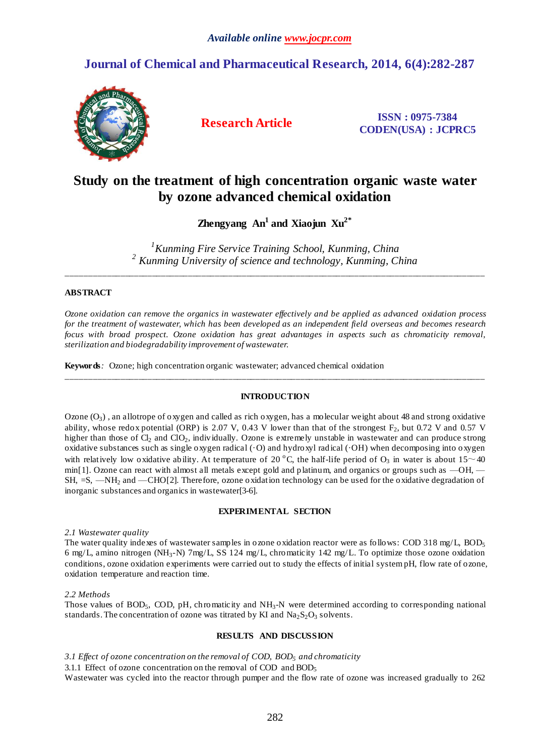# **Journal of Chemical and Pharmaceutical Research, 2014, 6(4):282-287**



**Research Article ISSN : 0975-7384 CODEN(USA) : JCPRC5**

# **Study on the treatment of high concentration organic waste water by ozone advanced chemical oxidation**

**Zhengyang An<sup>1</sup> and Xiaojun Xu2\***

*<sup>1</sup>Kunming Fire Service Training School, Kunming, China <sup>2</sup> Kunming University of science and technology, Kunming, China*

\_\_\_\_\_\_\_\_\_\_\_\_\_\_\_\_\_\_\_\_\_\_\_\_\_\_\_\_\_\_\_\_\_\_\_\_\_\_\_\_\_\_\_\_\_\_\_\_\_\_\_\_\_\_\_\_\_\_\_\_\_\_\_\_\_\_\_\_\_\_\_\_\_\_\_\_\_\_\_\_\_\_\_\_\_\_\_\_\_\_\_\_\_

## **ABSTRACT**

*Ozone oxidation can remove the organics in wastewater effectively and be applied as advanced oxidation process for the treatment of wastewater, which has been developed as an independent field overseas and becomes research focus with broad prospect. Ozone oxidation has great advantages in aspects such as chromaticity removal, sterilization and biodegradability improvement of wastewater.*

**Keywords***:* Ozone; high concentration organic wastewater; advanced chemical oxidation

## **INTRODUCTION**

\_\_\_\_\_\_\_\_\_\_\_\_\_\_\_\_\_\_\_\_\_\_\_\_\_\_\_\_\_\_\_\_\_\_\_\_\_\_\_\_\_\_\_\_\_\_\_\_\_\_\_\_\_\_\_\_\_\_\_\_\_\_\_\_\_\_\_\_\_\_\_\_\_\_\_\_\_\_\_\_\_\_\_\_\_\_\_\_\_\_\_\_\_

Ozone  $(O_3)$ , an allotrope of oxygen and called as rich oxygen, has a molecular weight about 48 and strong oxidative ability, whose redox potential (ORP) is 2.07 V, 0.43 V lower than that of the strongest  $F_2$ , but 0.72 V and 0.57 V higher than those of  $Cl_2$  and  $Cl_2$ , individually. Ozone is extremely unstable in wastewater and can produce strong oxidative substances such as single oxygen radical (O) and hydroxyl radical (OH) when decomposing into oxygen with relatively low oxidative ability. At temperature of 20 °C, the half-life period of  $O_3$  in water is about 15~40 min[1]. Ozone can react with almost all metals except gold and platinum, and organics or groups such as —OH, — SH, =S, —NH<sup>2</sup> and —CHO[2]. Therefore, ozone oxidation technology can be used for the oxidative degradation of inorganic substances and organics in wastewater[3-6].

## **EXPERIMENTAL SECTION**

*2.1 Wastewater quality*

The water quality indexes of wastewater samples in ozone oxidation reactor were as follows: COD 318 mg/L, BOD<sup>5</sup> 6 mg/L, amino nitrogen (NH3-N) 7mg/L, SS 124 mg/L, chromaticity 142 mg/L. To optimize those ozone oxidation conditions, ozone oxidation experiments were carried out to study the effects of initial systempH, flow rate of ozone, oxidation temperature and reaction time.

### *2.2 Methods*

Those values of BOD<sub>5</sub>, COD, pH, chromaticity and  $NH<sub>3</sub>-N$  were determined according to corresponding national standards. The concentration of ozone was titrated by KI and  $Na<sub>2</sub>S<sub>2</sub>O<sub>3</sub>$  solvents.

### **RESULTS AND DISCUSSION**

*3.1 Effect of ozone concentration on the removal of COD, BOD<sup>5</sup> and chromaticity*

3.1.1 Effect of ozone concentration on the removal of COD and  $BOD<sub>5</sub>$ 

Wastewater was cycled into the reactor through pumper and the flow rate of ozone was increased gradually to 262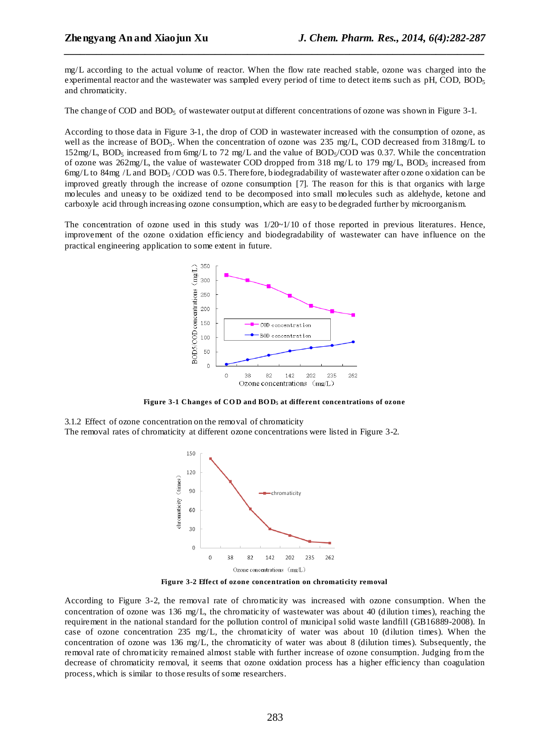mg/L according to the actual volume of reactor. When the flow rate reached stable, ozone was charged into the experimental reactor and the wastewater was sampled every period of time to detect items such as pH, COD, BOD<sub>5</sub> and chromaticity.

*\_\_\_\_\_\_\_\_\_\_\_\_\_\_\_\_\_\_\_\_\_\_\_\_\_\_\_\_\_\_\_\_\_\_\_\_\_\_\_\_\_\_\_\_\_\_\_\_\_\_\_\_\_\_\_\_\_\_\_\_\_\_\_\_\_\_\_\_\_\_\_\_\_\_\_\_\_\_*

The change of COD and BOD<sub>5</sub> of wastewater output at different concentrations of ozone was shown in Figure 3-1.

According to those data in Figure 3-1, the drop of COD in wastewater increased with the consumption of ozone, as well as the increase of BOD<sub>5</sub>. When the concentration of ozone was 235 mg/L, COD decreased from 318mg/L to  $152 \text{mg/L}$ , BOD<sub>5</sub> increased from 6mg/L to 72 mg/L and the value of BOD<sub>5</sub>/COD was 0.37. While the concentration of ozone was  $262mg/L$ , the value of wastewater COD dropped from 318 mg/L to 179 mg/L, BOD<sub>5</sub> increased from 6mg/L to 84mg /L and BOD<sup>5</sup> /COD was 0.5. Therefore, biodegradability of wastewater after ozone oxidation can be improved greatly through the increase of ozone consumption [7]. The reason for this is that organics with large molecules and uneasy to be oxidized tend to be decomposed into small molecules such as aldehyde, ketone and carboxyle acid through increasing ozone consumption, which are easy to be degraded further by microorganism.

The concentration of ozone used in this study was  $1/20~\sim 1/10$  of those reported in previous literatures. Hence, improvement of the ozone oxidation efficiency and biodegradability of wastewater can have influence on the practical engineering application to some extent in future.



**Figure 3-1 Changes of CO D and BO D<sup>5</sup> at different concentrations of ozone**

3.1.2 Effect of ozone concentration on the removal of chromaticity The removal rates of chromaticity at different ozone concentrations were listed in Figure 3-2.



**Figure 3-2 Effect of ozone concentration on chromaticity removal**

According to Figure 3-2, the removal rate of chromaticity was increased with ozone consumption. When the concentration of ozone was  $136 \text{ mg/L}$ , the chromaticity of wastewater was about 40 (dilution times), reaching the requirement in the national standard for the pollution control of [municipal solid waste landfill](javascript:showjdsw() (GB16889-2008). In case of ozone concentration 235 mg/L, the chromaticity of water was about 10 (dilution times). When the concentration of ozone was 136 mg/L, the chromaticity of water was about 8 (dilution times). Subsequently, the removal rate of chromaticity remained almost stable with further increase of ozone consumption. Judging from the decrease of chromaticity removal, it seems that ozone oxidation process has a higher efficiency than coagulation process, which is similar to those results of some researchers.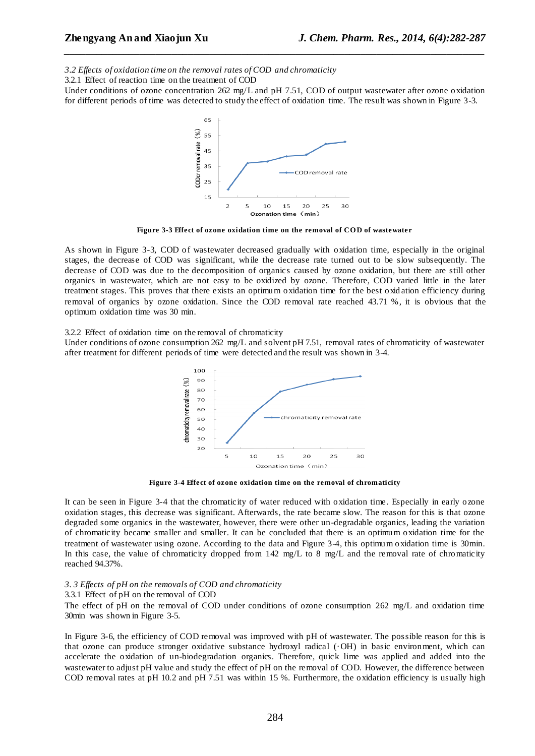*3.2 Effects of oxidation time on the removal rates of COD and chromaticity*

3.2.1 Effect of reaction time on the treatment of COD

Under conditions of ozone concentration 262 mg/L and pH 7.51, COD of output wastewater after ozone oxidation for different periods of time was detected to study the effect of oxidation time. The result was shown in Figure 3-3.

*\_\_\_\_\_\_\_\_\_\_\_\_\_\_\_\_\_\_\_\_\_\_\_\_\_\_\_\_\_\_\_\_\_\_\_\_\_\_\_\_\_\_\_\_\_\_\_\_\_\_\_\_\_\_\_\_\_\_\_\_\_\_\_\_\_\_\_\_\_\_\_\_\_\_\_\_\_\_*



Figure 3-3 Effect of ozone oxidation time on the removal of COD of wastewater

As shown in Figure 3-3, COD of wastewater decreased gradually with oxidation time, especially in the original stages, the decrease of COD was significant, while the decrease rate turned out to be slow subsequently. The decrease of COD was due to the decomposition of organics caused by ozone oxidation, but there are still other organics in wastewater, which are not easy to be oxidized by ozone. Therefore, COD varied little in the later treatment stages. This proves that there exists an optimum oxidation time for the best oxid ation efficiency during removal of organics by ozone oxidation. Since the COD removal rate reached 43.71 %, it is obvious that the optimum oxidation time was 30 min.

3.2.2 Effect of oxidation time on the removal of chromaticity

Under conditions of ozone consumption 262 mg/L and solvent pH 7.51, removal rates of chromaticity of wastewater after treatment for different periods of time were detected and the result was shown in 3-4.



**Figure 3-4 Effect of ozone oxidation time on the removal of chromaticity**

It can be seen in Figure 3-4 that the chromaticity of water reduced with oxidation time. Especially in early ozone oxidation stages, this decrease was significant. Afterwards, the rate became slow. The reason for this is that ozone degraded some organics in the wastewater, however, there were other un-degradable organics, leading the variation of chromaticity became smaller and smaller. It can be concluded that there is an optimum oxidation time for the treatment of wastewater using ozone. According to the data and Figure 3-4, this optimum oxidation time is 30min. In this case, the value of chromaticity dropped from 142 mg/L to 8 mg/L and the removal rate of chromaticity reached 94.37%.

#### *3. 3 Effects of pH on the removals of COD and chromaticity*

#### 3.3.1 Effect of pH on the removal of COD

The effect of pH on the removal of COD under conditions of ozone consumption 262 mg/L and oxidation time 30min was shown in Figure 3-5.

In Figure 3-6, the efficiency of COD removal was improved with pH of wastewater. The possible reason for this is that ozone can produce stronger oxidative substance hydroxyl radical (OH) in basic environment, which can accelerate the oxidation of un-biodegradation organics. Therefore, quick lime was applied and added into the wastewater to adjust pH value and study the effect of pH on the removal of COD. However, the difference between COD removal rates at pH 10.2 and pH 7.51 was within 15 %. Furthermore, the oxidation efficiency is usually high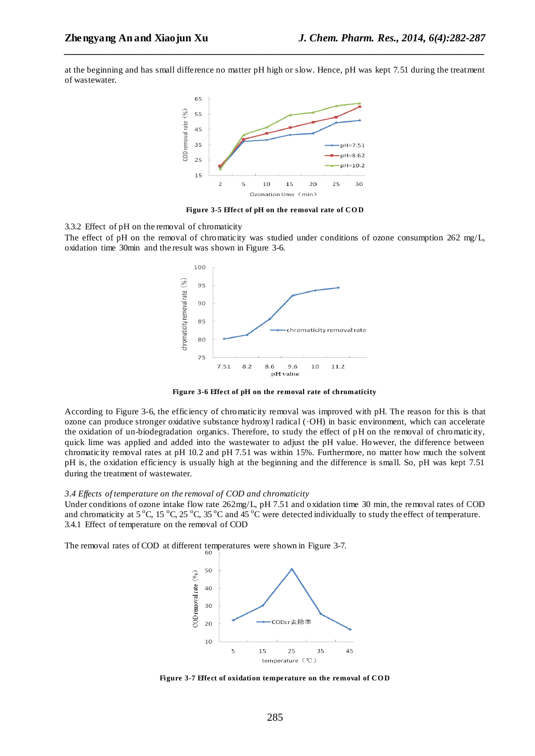at the beginning and has small difference no matter pH high or slow. Hence, pH was kept 7.51 during the treatment of wastewater.

*\_\_\_\_\_\_\_\_\_\_\_\_\_\_\_\_\_\_\_\_\_\_\_\_\_\_\_\_\_\_\_\_\_\_\_\_\_\_\_\_\_\_\_\_\_\_\_\_\_\_\_\_\_\_\_\_\_\_\_\_\_\_\_\_\_\_\_\_\_\_\_\_\_\_\_\_\_\_*



**Figure 3-5 Effect of pH on the removal rate of CO D**

3.3.2 Effect of pH on the removal of chromaticity

The effect of pH on the removal of chromaticity was studied under conditions of ozone consumption 262 mg/L, oxidation time 30min and the result was shown in Figure 3-6.



**Figure 3-6 Effect of pH on the removal rate of chromaticity**

According to Figure 3-6, the efficiency of chromaticity removal was improved with pH. The reason for this is that ozone can produce stronger oxidative substance hydroxyl radical (OH) in basic environment, which can accelerate the oxidation of un-biodegradation organics. Therefore, to study the effect of pH on the removal of chromaticity, quick lime was applied and added into the wastewater to adjust the pH value. However, the difference between chromaticity removal rates at pH 10.2 and pH 7.51 was within 15%. Furthermore, no matter how much the solvent pH is, the oxidation efficiency is usually high at the beginning and the difference is small. So, pH was kept 7.51 during the treatment of wastewater.

#### *3.4 Effects of temperature on the removal of COD and chromaticity*

Under conditions of ozone intake flow rate  $262mg/L$ , pH 7.51 and oxidation time 30 min, the removal rates of COD and chromaticity at 5 °C, 15 °C, 25 °C, 35 °C and 45 °C were detected individually to study the effect of temperature. 3.4.1 Effect of temperature on the removal of COD

The removal rates of COD at different temperatures were shown in Figure 3-7.



**Figure 3-7 Effect of oxidation temperature on the removal of CO D**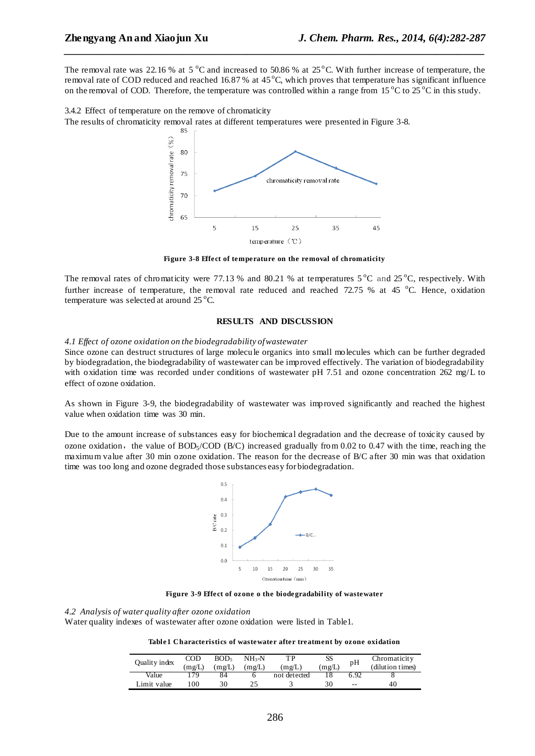The removal rate was 22.16 % at 5  $^{\circ}$ C and increased to 50.86 % at 25 $^{\circ}$ C. With further increase of temperature, the removal rate of COD reduced and reached 16.87% at  $45^{\circ}$ C, which proves that temperature has significant influence on the removal of COD. Therefore, the temperature was controlled within a range from  $15^{\circ}$ C to  $25^{\circ}$ C in this study.

*\_\_\_\_\_\_\_\_\_\_\_\_\_\_\_\_\_\_\_\_\_\_\_\_\_\_\_\_\_\_\_\_\_\_\_\_\_\_\_\_\_\_\_\_\_\_\_\_\_\_\_\_\_\_\_\_\_\_\_\_\_\_\_\_\_\_\_\_\_\_\_\_\_\_\_\_\_\_*

3.4.2 Effect of temperature on the remove of chromaticity The results of chromaticity removal rates at different temperatures were presented in Figure 3-8.



**Figure 3-8 Effect of temperature on the removal of chromaticity**

The removal rates of chromaticity were 77.13 % and 80.21 % at temperatures  $5^{\circ}$ C and  $25^{\circ}$ C, respectively. With further increase of temperature, the removal rate reduced and reached 72.75 % at 45  $^{\circ}$ C. Hence, oxidation temperature was selected at around 25 °C.

#### **RESULTS AND DISCUSSION**

#### *4.1 Effect of ozone oxidation on the biodegradability of wastewater*

Since ozone can destruct structures of large molecule organics into small molecules which can be further degraded by biodegradation, the biodegradability of wastewater can be improved effectively. The variation of biodegradability with oxidation time was recorded under conditions of wastewater pH 7.51 and ozone concentration 262 mg/L to effect of ozone oxidation.

As shown in Figure 3-9, the biodegradability of wastewater was improved significantly and reached the highest value when oxidation time was 30 min.

Due to the amount increase of substances easy for biochemical degradation and the decrease of toxicity caused by ozone oxidation, the value of BOD<sub>5</sub>/COD (B/C) increased gradually from 0.02 to 0.47 with the time, reaching the maximum value after 30 min ozone oxidation. The reason for the decrease of B/C after 30 min was that oxidation time was too long and ozone degraded those substances easy for biodegradation.



**Figure 3-9 Effect of ozone o the biodegradability of wastewater**

*4.2 Analysis of water quality after ozone oxidation*

Water quality indexes of wastewater after ozone oxidation were listed in Table1.

**Table1 Characteristics of wastewater after treatment by ozone oxidation**

| Quality index | $\rm{COD}$ | BOD <sub>5</sub> | $NH_{3}-N$ | тp           | SS     | pH    | Chromaticity     |
|---------------|------------|------------------|------------|--------------|--------|-------|------------------|
|               | (mg/L)     | (mg/L)           | (mg/L)     | (mg/L)       | (mg/L) |       | (dilution times) |
| Value         | 179        | 84               |            | not detected |        | 6.92  |                  |
| Limit value   | -00        | 30               |            |              | 30     | $- -$ | 40               |